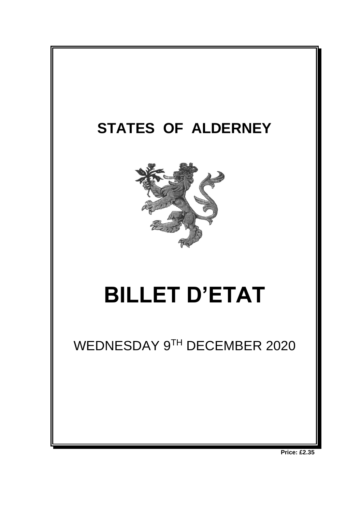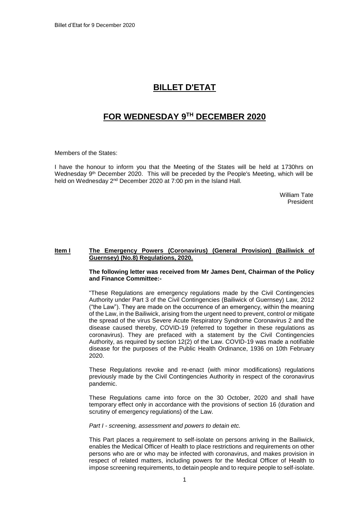# **BILLET D'ETAT**

# **FOR WEDNESDAY 9 TH DECEMBER 2020**

Members of the States:

I have the honour to inform you that the Meeting of the States will be held at 1730hrs on Wednesday 9<sup>th</sup> December 2020. This will be preceded by the People's Meeting, which will be held on Wednesday 2<sup>nd</sup> December 2020 at 7:00 pm in the Island Hall.

> William Tate President

## **Item I The Emergency Powers (Coronavirus) (General Provision) (Bailiwick of Guernsey) (No.8) Regulations, 2020.**

#### **The following letter was received from Mr James Dent, Chairman of the Policy and Finance Committee:-**

"These Regulations are emergency regulations made by the Civil Contingencies Authority under Part 3 of the Civil Contingencies (Bailiwick of Guernsey) Law, 2012 ("the Law"). They are made on the occurrence of an emergency, within the meaning of the Law, in the Bailiwick, arising from the urgent need to prevent, control or mitigate the spread of the virus Severe Acute Respiratory Syndrome Coronavirus 2 and the disease caused thereby, COVID-19 (referred to together in these regulations as coronavirus). They are prefaced with a statement by the Civil Contingencies Authority, as required by section 12(2) of the Law. COVID-19 was made a notifiable disease for the purposes of the Public Health Ordinance, 1936 on 10th February 2020.

These Regulations revoke and re-enact (with minor modifications) regulations previously made by the Civil Contingencies Authority in respect of the coronavirus pandemic.

These Regulations came into force on the 30 October, 2020 and shall have temporary effect only in accordance with the provisions of section 16 (duration and scrutiny of emergency regulations) of the Law.

*Part I - screening, assessment and powers to detain etc.*

This Part places a requirement to self-isolate on persons arriving in the Bailiwick, enables the Medical Officer of Health to place restrictions and requirements on other persons who are or who may be infected with coronavirus, and makes provision in respect of related matters, including powers for the Medical Officer of Health to impose screening requirements, to detain people and to require people to self-isolate.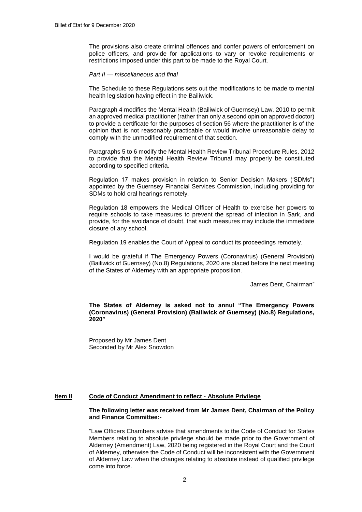The provisions also create criminal offences and confer powers of enforcement on police officers, and provide for applications to vary or revoke requirements or restrictions imposed under this part to be made to the Royal Court.

#### *Part II — miscellaneous and final*

The Schedule to these Regulations sets out the modifications to be made to mental health legislation having effect in the Bailiwick.

Paragraph 4 modifies the Mental Health (Bailiwick of Guernsey) Law, 2010 to permit an approved medical practitioner (rather than only a second opinion approved doctor) to provide a certificate for the purposes of section 56 where the practitioner is of the opinion that is not reasonably practicable or would involve unreasonable delay to comply with the unmodified requirement of that section.

Paragraphs 5 to 6 modify the Mental Health Review Tribunal Procedure Rules, 2012 to provide that the Mental Health Review Tribunal may properly be constituted according to specified criteria.

Regulation 17 makes provision in relation to Senior Decision Makers ('SDMs") appointed by the Guernsey Financial Services Commission, including providing for SDMs to hold oral hearings remotely.

Regulation 18 empowers the Medical Officer of Health to exercise her powers to require schools to take measures to prevent the spread of infection in Sark, and provide, for the avoidance of doubt, that such measures may include the immediate closure of any school.

Regulation 19 enables the Court of Appeal to conduct its proceedings remotely.

I would be grateful if The Emergency Powers (Coronavirus) (General Provision) (Bailiwick of Guernsey) (No.8) Regulations, 2020 are placed before the next meeting of the States of Alderney with an appropriate proposition.

James Dent, Chairman"

**The States of Alderney is asked not to annul "The Emergency Powers (Coronavirus) (General Provision) (Bailiwick of Guernsey) (No.8) Regulations, 2020"**

Proposed by Mr James Dent Seconded by Mr Alex Snowdon

# **Item II Code of Conduct Amendment to reflect - Absolute Privilege**

#### **The following letter was received from Mr James Dent, Chairman of the Policy and Finance Committee:-**

"Law Officers Chambers advise that amendments to the Code of Conduct for States Members relating to absolute privilege should be made prior to the Government of Alderney (Amendment) Law, 2020 being registered in the Royal Court and the Court of Alderney, otherwise the Code of Conduct will be inconsistent with the Government of Alderney Law when the changes relating to absolute instead of qualified privilege come into force.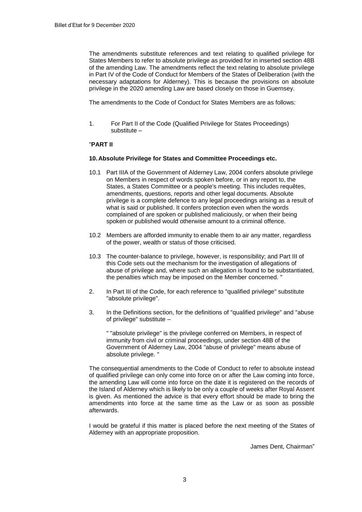The amendments substitute references and text relating to qualified privilege for States Members to refer to absolute privilege as provided for in inserted section 48B of the amending Law. The amendments reflect the text relating to absolute privilege in Part IV of the Code of Conduct for Members of the States of Deliberation (with the necessary adaptations for Alderney). This is because the provisions on absolute privilege in the 2020 amending Law are based closely on those in Guernsey.

The amendments to the Code of Conduct for States Members are as follows:

1. For Part II of the Code (Qualified Privilege for States Proceedings) substitute –

## "**PART II**

## **10. Absolute Privilege for States and Committee Proceedings etc.**

- 10.1 Part IIIA of the Government of Alderney Law, 2004 confers absolute privilege on Members in respect of words spoken before, or in any report to, the States, a States Committee or a people's meeting. This includes requêtes, amendments, questions, reports and other legal documents. Absolute privilege is a complete defence to any legal proceedings arising as a result of what is said or published. It confers protection even when the words complained of are spoken or published maliciously, or when their being spoken or published would otherwise amount to a criminal offence.
- 10.2 Members are afforded immunity to enable them to air any matter, regardless of the power, wealth or status of those criticised.
- 10.3 The counter-balance to privilege, however, is responsibility; and Part III of this Code sets out the mechanism for the investigation of allegations of abuse of privilege and, where such an allegation is found to be substantiated, the penalties which may be imposed on the Member concerned. "
- 2. In Part III of the Code, for each reference to "qualified privilege" substitute "absolute privilege".
- 3. In the Definitions section, for the definitions of "qualified privilege" and "abuse of privilege" substitute –

" "absolute privilege" is the privilege conferred on Members, in respect of immunity from civil or criminal proceedings, under section 48B of the Government of Alderney Law, 2004 "abuse of privilege" means abuse of absolute privilege. "

The consequential amendments to the Code of Conduct to refer to absolute instead of qualified privilege can only come into force on or after the Law coming into force, the amending Law will come into force on the date it is registered on the records of the Island of Alderney which is likely to be only a couple of weeks after Royal Assent is given. As mentioned the advice is that every effort should be made to bring the amendments into force at the same time as the Law or as soon as possible afterwards.

I would be grateful if this matter is placed before the next meeting of the States of Alderney with an appropriate proposition.

James Dent, Chairman"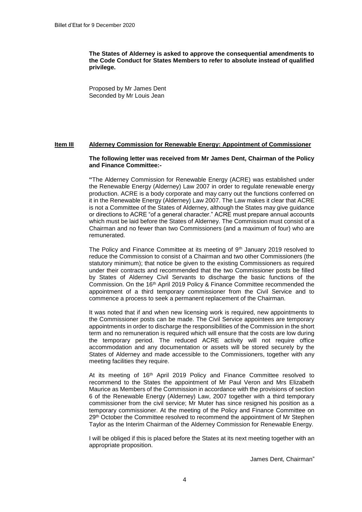**The States of Alderney is asked to approve the consequential amendments to the Code Conduct for States Members to refer to absolute instead of qualified privilege.**

Proposed by Mr James Dent Seconded by Mr Louis Jean

#### **Item III Alderney Commission for Renewable Energy: Appointment of Commissioner**

#### **The following letter was received from Mr James Dent, Chairman of the Policy and Finance Committee:-**

**"**The Alderney Commission for Renewable Energy (ACRE) was established under the Renewable Energy (Alderney) Law 2007 in order to regulate renewable energy production. ACRE is a body corporate and may carry out the functions conferred on it in the Renewable Energy (Alderney) Law 2007. The Law makes it clear that ACRE is not a Committee of the States of Alderney, although the States may give guidance or directions to ACRE "of a general character." ACRE must prepare annual accounts which must be laid before the States of Alderney. The Commission must consist of a Chairman and no fewer than two Commissioners (and a maximum of four) who are remunerated.

The Policy and Finance Committee at its meeting of 9<sup>th</sup> January 2019 resolved to reduce the Commission to consist of a Chairman and two other Commissioners (the statutory minimum); that notice be given to the existing Commissioners as required under their contracts and recommended that the two Commissioner posts be filled by States of Alderney Civil Servants to discharge the basic functions of the Commission. On the 16th April 2019 Policy & Finance Committee recommended the appointment of a third temporary commissioner from the Civil Service and to commence a process to seek a permanent replacement of the Chairman.

It was noted that if and when new licensing work is required, new appointments to the Commissioner posts can be made. The Civil Service appointees are temporary appointments in order to discharge the responsibilities of the Commission in the short term and no remuneration is required which will ensure that the costs are low during the temporary period. The reduced ACRE activity will not require office accommodation and any documentation or assets will be stored securely by the States of Alderney and made accessible to the Commissioners, together with any meeting facilities they require.

At its meeting of 16<sup>th</sup> April 2019 Policy and Finance Committee resolved to recommend to the States the appointment of Mr Paul Veron and Mrs Elizabeth Maurice as Members of the Commission in accordance with the provisions of section 6 of the Renewable Energy (Alderney) Law, 2007 together with a third temporary commissioner from the civil service; Mr Muter has since resigned his position as a temporary commissioner. At the meeting of the Policy and Finance Committee on 29<sup>th</sup> October the Committee resolved to recommend the appointment of Mr Stephen Taylor as the Interim Chairman of the Alderney Commission for Renewable Energy.

I will be obliged if this is placed before the States at its next meeting together with an appropriate proposition.

James Dent, Chairman"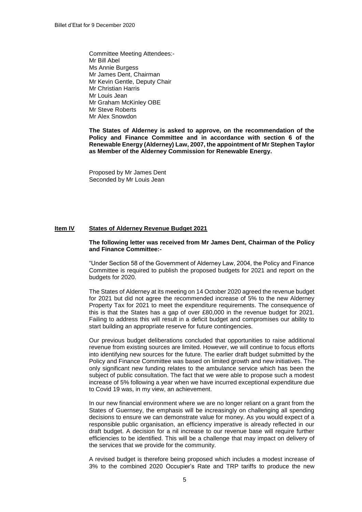Committee Meeting Attendees:- Mr Bill Abel Ms Annie Burgess Mr James Dent, Chairman Mr Kevin Gentle, Deputy Chair Mr Christian Harris Mr Louis Jean Mr Graham McKinley OBE Mr Steve Roberts Mr Alex Snowdon

**The States of Alderney is asked to approve, on the recommendation of the Policy and Finance Committee and in accordance with section 6 of the Renewable Energy (Alderney) Law, 2007, the appointment of Mr Stephen Taylor as Member of the Alderney Commission for Renewable Energy.**

Proposed by Mr James Dent Seconded by Mr Louis Jean

#### **Item IV States of Alderney Revenue Budget 2021**

#### **The following letter was received from Mr James Dent, Chairman of the Policy and Finance Committee:-**

"Under Section 58 of the Government of Alderney Law, 2004, the Policy and Finance Committee is required to publish the proposed budgets for 2021 and report on the budgets for 2020.

The States of Alderney at its meeting on 14 October 2020 agreed the revenue budget for 2021 but did not agree the recommended increase of 5% to the new Alderney Property Tax for 2021 to meet the expenditure requirements. The consequence of this is that the States has a gap of over £80,000 in the revenue budget for 2021. Failing to address this will result in a deficit budget and compromises our ability to start building an appropriate reserve for future contingencies.

Our previous budget deliberations concluded that opportunities to raise additional revenue from existing sources are limited. However, we will continue to focus efforts into identifying new sources for the future. The earlier draft budget submitted by the Policy and Finance Committee was based on limited growth and new initiatives. The only significant new funding relates to the ambulance service which has been the subject of public consultation. The fact that we were able to propose such a modest increase of 5% following a year when we have incurred exceptional expenditure due to Covid 19 was, in my view, an achievement.

In our new financial environment where we are no longer reliant on a grant from the States of Guernsey, the emphasis will be increasingly on challenging all spending decisions to ensure we can demonstrate value for money. As you would expect of a responsible public organisation, an efficiency imperative is already reflected in our draft budget. A decision for a nil increase to our revenue base will require further efficiencies to be identified. This will be a challenge that may impact on delivery of the services that we provide for the community.

A revised budget is therefore being proposed which includes a modest increase of 3% to the combined 2020 Occupier's Rate and TRP tariffs to produce the new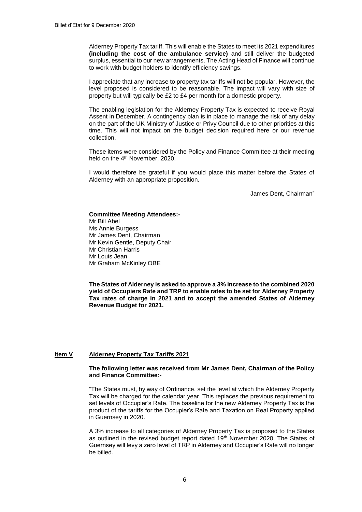Alderney Property Tax tariff. This will enable the States to meet its 2021 expenditures **(including the cost of the ambulance service)** and still deliver the budgeted surplus, essential to our new arrangements. The Acting Head of Finance will continue to work with budget holders to identify efficiency savings.

I appreciate that any increase to property tax tariffs will not be popular. However, the level proposed is considered to be reasonable. The impact will vary with size of property but will typically be £2 to £4 per month for a domestic property.

The enabling legislation for the Alderney Property Tax is expected to receive Royal Assent in December. A contingency plan is in place to manage the risk of any delay on the part of the UK Ministry of Justice or Privy Council due to other priorities at this time. This will not impact on the budget decision required here or our revenue collection.

These items were considered by the Policy and Finance Committee at their meeting held on the 4<sup>th</sup> November, 2020.

I would therefore be grateful if you would place this matter before the States of Alderney with an appropriate proposition.

James Dent, Chairman"

#### **Committee Meeting Attendees:-** Mr Bill Abel Ms Annie Burgess Mr James Dent, Chairman Mr Kevin Gentle, Deputy Chair

Mr Christian Harris

Mr Louis Jean

Mr Graham McKinley OBE

**The States of Alderney is asked to approve a 3% increase to the combined 2020 yield of Occupiers Rate and TRP to enable rates to be set for Alderney Property Tax rates of charge in 2021 and to accept the amended States of Alderney Revenue Budget for 2021.** 

# **Item V Alderney Property Tax Tariffs 2021**

#### **The following letter was received from Mr James Dent, Chairman of the Policy and Finance Committee:-**

"The States must, by way of Ordinance, set the level at which the Alderney Property Tax will be charged for the calendar year. This replaces the previous requirement to set levels of Occupier's Rate. The baseline for the new Alderney Property Tax is the product of the tariffs for the Occupier's Rate and Taxation on Real Property applied in Guernsey in 2020.

A 3% increase to all categories of Alderney Property Tax is proposed to the States as outlined in the revised budget report dated 19th November 2020. The States of Guernsey will levy a zero level of TRP in Alderney and Occupier's Rate will no longer be billed.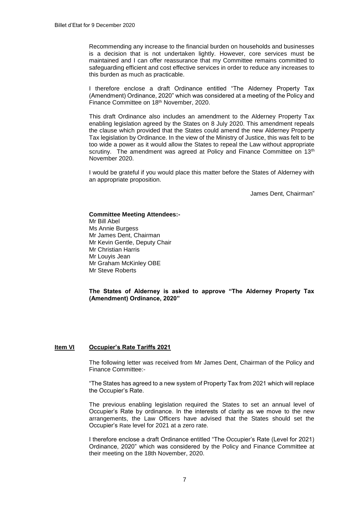Recommending any increase to the financial burden on households and businesses is a decision that is not undertaken lightly. However, core services must be maintained and I can offer reassurance that my Committee remains committed to safeguarding efficient and cost effective services in order to reduce any increases to this burden as much as practicable.

I therefore enclose a draft Ordinance entitled "The Alderney Property Tax (Amendment) Ordinance, 2020" which was considered at a meeting of the Policy and Finance Committee on 18th November, 2020.

This draft Ordinance also includes an amendment to the Alderney Property Tax enabling legislation agreed by the States on 8 July 2020. This amendment repeals the clause which provided that the States could amend the new Alderney Property Tax legislation by Ordinance. In the view of the Ministry of Justice, this was felt to be too wide a power as it would allow the States to repeal the Law without appropriate scrutiny. The amendment was agreed at Policy and Finance Committee on 13<sup>th</sup> November 2020.

I would be grateful if you would place this matter before the States of Alderney with an appropriate proposition.

James Dent, Chairman"

# **Committee Meeting Attendees:-**

Mr Bill Abel Ms Annie Burgess Mr James Dent, Chairman Mr Kevin Gentle, Deputy Chair Mr Christian Harris Mr Louyis Jean Mr Graham McKinley OBE Mr Steve Roberts

**The States of Alderney is asked to approve "The Alderney Property Tax (Amendment) Ordinance, 2020"**

# **Item VI Occupier's Rate Tariffs 2021**

The following letter was received from Mr James Dent, Chairman of the Policy and Finance Committee:-

"The States has agreed to a new system of Property Tax from 2021 which will replace the Occupier's Rate.

The previous enabling legislation required the States to set an annual level of Occupier's Rate by ordinance. In the interests of clarity as we move to the new arrangements, the Law Officers have advised that the States should set the Occupier's Rate level for 2021 at a zero rate.

I therefore enclose a draft Ordinance entitled "The Occupier's Rate (Level for 2021) Ordinance, 2020" which was considered by the Policy and Finance Committee at their meeting on the 18th November, 2020.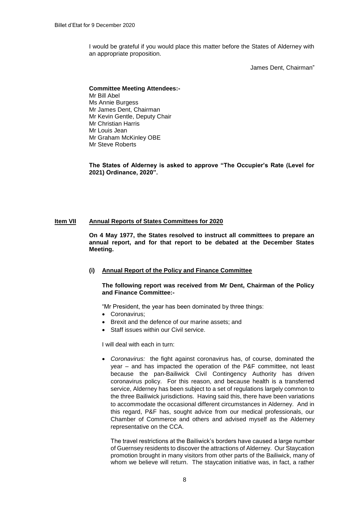I would be grateful if you would place this matter before the States of Alderney with an appropriate proposition.

James Dent, Chairman"

#### **Committee Meeting Attendees:-** Mr Bill Abel Ms Annie Burgess Mr James Dent, Chairman Mr Kevin Gentle, Deputy Chair Mr Christian Harris Mr Louis Jean Mr Graham McKinley OBE Mr Steve Roberts

**The States of Alderney is asked to approve "The Occupier's Rate (Level for 2021) Ordinance, 2020".**

## **Item VII Annual Reports of States Committees for 2020**

**On 4 May 1977, the States resolved to instruct all committees to prepare an annual report, and for that report to be debated at the December States Meeting.**

# **(i) Annual Report of the Policy and Finance Committee**

**The following report was received from Mr Dent, Chairman of the Policy and Finance Committee:-**

"Mr President, the year has been dominated by three things:

- Coronavirus:
- Brexit and the defence of our marine assets; and
- Staff issues within our Civil service.

I will deal with each in turn:

 *Coronavirus:* the fight against coronavirus has, of course, dominated the year – and has impacted the operation of the P&F committee, not least because the pan-Bailiwick Civil Contingency Authority has driven coronavirus policy. For this reason, and because health is a transferred service, Alderney has been subject to a set of regulations largely common to the three Bailiwick jurisdictions. Having said this, there have been variations to accommodate the occasional different circumstances in Alderney. And in this regard, P&F has, sought advice from our medical professionals, our Chamber of Commerce and others and advised myself as the Alderney representative on the CCA.

The travel restrictions at the Bailiwick's borders have caused a large number of Guernsey residents to discover the attractions of Alderney. Our Staycation promotion brought in many visitors from other parts of the Bailiwick, many of whom we believe will return. The staycation initiative was, in fact, a rather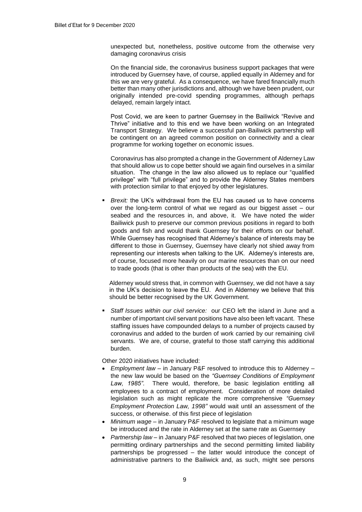unexpected but, nonetheless, positive outcome from the otherwise very damaging coronavirus crisis

On the financial side, the coronavirus business support packages that were introduced by Guernsey have, of course, applied equally in Alderney and for this we are very grateful. As a consequence, we have fared financially much better than many other jurisdictions and, although we have been prudent, our originally intended pre-covid spending programmes, although perhaps delayed, remain largely intact.

Post Covid, we are keen to partner Guernsey in the Bailiwick "Revive and Thrive" initiative and to this end we have been working on an Integrated Transport Strategy. We believe a successful pan-Bailiwick partnership will be contingent on an agreed common position on connectivity and a clear programme for working together on economic issues.

Coronavirus has also prompted a change in the Government of Alderney Law that should allow us to cope better should we again find ourselves in a similar situation. The change in the law also allowed us to replace our "qualified privilege" with "full privilege" and to provide the Alderney States members with protection similar to that enjoyed by other legislatures.

 *Brexit:* the UK's withdrawal from the EU has caused us to have concerns over the long-term control of what we regard as our biggest asset – our seabed and the resources in, and above, it. We have noted the wider Bailiwick push to preserve our common previous positions in regard to both goods and fish and would thank Guernsey for their efforts on our behalf. While Guernsey has recognised that Alderney's balance of interests may be different to those in Guernsey, Guernsey have clearly not shied away from representing our interests when talking to the UK. Alderney's interests are, of course, focused more heavily on our marine resources than on our need to trade goods (that is other than products of the sea) with the EU.

Alderney would stress that, in common with Guernsey, we did not have a say in the UK's decision to leave the EU. And in Alderney we believe that this should be better recognised by the UK Government.

 *Staff Issues within our civil service:* our CEO left the island in June and a number of important civil servant positions have also been left vacant. These staffing issues have compounded delays to a number of projects caused by coronavirus and added to the burden of work carried by our remaining civil servants. We are, of course, grateful to those staff carrying this additional burden.

Other 2020 initiatives have included:

- *Employment law* in January P&F resolved to introduce this to Alderney the new law would be based on the *"Guernsey Conditions of Employment Law, 1985"*. There would, therefore, be basic legislation entitling all employees to a contract of employment. Consideration of more detailed legislation such as might replicate the more comprehensive *"Guernsey Employment Protection Law, 1998"* would wait until an assessment of the success, or otherwise. of this first piece of legislation
- *Minimum wage –* in January P&F resolved to legislate that a minimum wage be introduced and the rate in Alderney set at the same rate as Guernsey
- *Partnership law* in January P&F resolved that two pieces of legislation, one permitting ordinary partnerships and the second permitting limited liability partnerships be progressed – the latter would introduce the concept of administrative partners to the Bailiwick and, as such, might see persons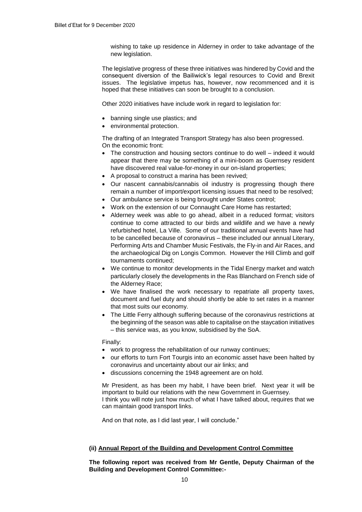wishing to take up residence in Alderney in order to take advantage of the new legislation.

The legislative progress of these three initiatives was hindered by Covid and the consequent diversion of the Bailiwick's legal resources to Covid and Brexit issues. The legislative impetus has, however, now recommenced and it is hoped that these initiatives can soon be brought to a conclusion.

Other 2020 initiatives have include work in regard to legislation for:

- banning single use plastics; and
- environmental protection.

The drafting of an Integrated Transport Strategy has also been progressed. On the economic front:

- The construction and housing sectors continue to do well indeed it would appear that there may be something of a mini-boom as Guernsey resident have discovered real value-for-money in our on-island properties;
- A proposal to construct a marina has been revived;
- Our nascent cannabis/cannabis oil industry is progressing though there remain a number of import/export licensing issues that need to be resolved;
- Our ambulance service is being brought under States control;
- Work on the extension of our Connaught Care Home has restarted;
- Alderney week was able to go ahead, albeit in a reduced format; visitors continue to come attracted to our birds and wildlife and we have a newly refurbished hotel, La Ville. Some of our traditional annual events have had to be cancelled because of coronavirus – these included our annual Literary, Performing Arts and Chamber Music Festivals, the Fly-in and Air Races, and the archaeological Dig on Longis Common. However the Hill Climb and golf tournaments continued;
- We continue to monitor developments in the Tidal Energy market and watch particularly closely the developments in the Ras Blanchard on French side of the Alderney Race;
- We have finalised the work necessary to repatriate all property taxes, document and fuel duty and should shortly be able to set rates in a manner that most suits our economy.
- The Little Ferry although suffering because of the coronavirus restrictions at the beginning of the season was able to capitalise on the staycation initiatives – this service was, as you know, subsidised by the SoA.

Finally:

- work to progress the rehabilitation of our runway continues;
- our efforts to turn Fort Tourgis into an economic asset have been halted by coronavirus and uncertainty about our air links; and
- discussions concerning the 1948 agreement are on hold.

Mr President, as has been my habit, I have been brief. Next year it will be important to build our relations with the new Government in Guernsey. I think you will note just how much of what I have talked about, requires that we can maintain good transport links.

And on that note, as I did last year, I will conclude."

# **(ii) Annual Report of the Building and Development Control Committee**

**The following report was received from Mr Gentle, Deputy Chairman of the Building and Development Control Committee:-**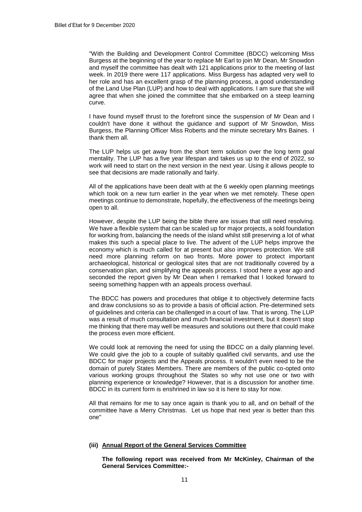''With the Building and Development Control Committee (BDCC) welcoming Miss Burgess at the beginning of the year to replace Mr Earl to join Mr Dean, Mr Snowdon and myself the committee has dealt with 121 applications prior to the meeting of last week. In 2019 there were 117 applications. Miss Burgess has adapted very well to her role and has an excellent grasp of the planning process, a good understanding of the Land Use Plan (LUP) and how to deal with applications. I am sure that she will agree that when she joined the committee that she embarked on a steep learning curve.

I have found myself thrust to the forefront since the suspension of Mr Dean and I couldn't have done it without the guidance and support of Mr Snowdon, Miss Burgess, the Planning Officer Miss Roberts and the minute secretary Mrs Baines. I thank them all.

The LUP helps us get away from the short term solution over the long term goal mentality. The LUP has a five year lifespan and takes us up to the end of 2022, so work will need to start on the next version in the next year. Using it allows people to see that decisions are made rationally and fairly.

All of the applications have been dealt with at the 6 weekly open planning meetings which took on a new turn earlier in the year when we met remotely. These open meetings continue to demonstrate, hopefully, the effectiveness of the meetings being open to all.

However, despite the LUP being the bible there are issues that still need resolving. We have a flexible system that can be scaled up for major projects, a sold foundation for working from, balancing the needs of the island whilst still preserving a lot of what makes this such a special place to live. The advent of the LUP helps improve the economy which is much called for at present but also improves protection. We still need more planning reform on two fronts. More power to protect important archaeological, historical or geological sites that are not traditionally covered by a conservation plan, and simplifying the appeals process. I stood here a year ago and seconded the report given by Mr Dean when I remarked that I looked forward to seeing something happen with an appeals process overhaul.

The BDCC has powers and procedures that oblige it to objectively determine facts and draw conclusions so as to provide a basis of official action. Pre-determined sets of guidelines and criteria can be challenged in a court of law. That is wrong. The LUP was a result of much consultation and much financial investment, but it doesn't stop me thinking that there may well be measures and solutions out there that could make the process even more efficient.

We could look at removing the need for using the BDCC on a daily planning level. We could give the job to a couple of suitably qualified civil servants, and use the BDCC for major projects and the Appeals process. It wouldn't even need to be the domain of purely States Members. There are members of the public co-opted onto various working groups throughout the States so why not use one or two with planning experience or knowledge? However, that is a discussion for another time. BDCC in its current form is enshrined in law so it is here to stay for now.

All that remains for me to say once again is thank you to all, and on behalf of the committee have a Merry Christmas. Let us hope that next year is better than this one''

#### **(iii) Annual Report of the General Services Committee**

**The following report was received from Mr McKinley, Chairman of the General Services Committee:-**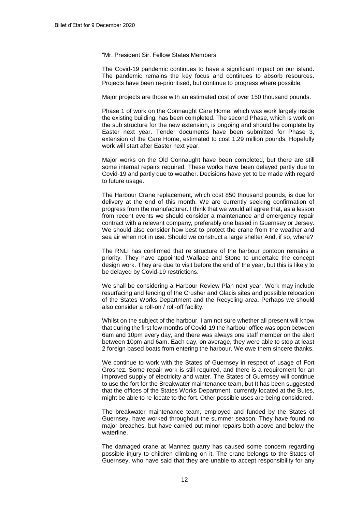"Mr. President Sir. Fellow States Members

The Covid-19 pandemic continues to have a significant impact on our island. The pandemic remains the key focus and continues to absorb resources. Projects have been re-prioritised, but continue to progress where possible.

Major projects are those with an estimated cost of over 150 thousand pounds.

Phase 1 of work on the Connaught Care Home, which was work largely inside the existing building, has been completed. The second Phase, which is work on the sub structure for the new extension, is ongoing and should be complete by Easter next year. Tender documents have been submitted for Phase 3, extension of the Care Home, estimated to cost 1.29 million pounds. Hopefully work will start after Easter next year.

Major works on the Old Connaught have been completed, but there are still some internal repairs required. These works have been delayed partly due to Covid-19 and partly due to weather. Decisions have yet to be made with regard to future usage.

The Harbour Crane replacement, which cost 850 thousand pounds, is due for delivery at the end of this month. We are currently seeking confirmation of progress from the manufacturer. I think that we would all agree that, as a lesson from recent events we should consider a maintenance and emergency repair contract with a relevant company, preferably one based in Guernsey or Jersey. We should also consider how best to protect the crane from the weather and sea air when not in use. Should we construct a large shelter And, if so, where?

The RNLI has confirmed that re structure of the harbour pontoon remains a priority. They have appointed Wallace and Stone to undertake the concept design work. They are due to visit before the end of the year, but this is likely to be delayed by Covid-19 restrictions.

We shall be considering a Harbour Review Plan next year. Work may include resurfacing and fencing of the Crusher and Glacis sites and possible relocation of the States Works Department and the Recycling area. Perhaps we should also consider a roll-on / roll-off facility.

Whilst on the subject of the harbour, I am not sure whether all present will know that during the first few months of Covid-19 the harbour office was open between 6am and 10pm every day, and there was always one staff member on the alert between 10pm and 6am. Each day, on average, they were able to stop at least 2 foreign based boats from entering the harbour. We owe them sincere thanks.

We continue to work with the States of Guernsey in respect of usage of Fort Grosnez. Some repair work is still required, and there is a requirement for an improved supply of electricity and water. The States of Guernsey will continue to use the fort for the Breakwater maintenance team, but It has been suggested that the offices of the States Works Department, currently located at the Butes, might be able to re-locate to the fort. Other possible uses are being considered.

The breakwater maintenance team, employed and funded by the States of Guernsey, have worked throughout the summer season. They have found no major breaches, but have carried out minor repairs both above and below the waterline.

The damaged crane at Mannez quarry has caused some concern regarding possible injury to children climbing on it. The crane belongs to the States of Guernsey, who have said that they are unable to accept responsibility for any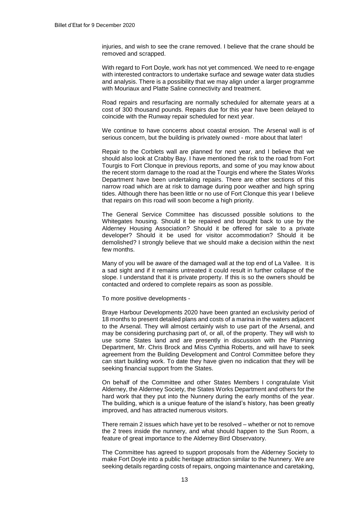injuries, and wish to see the crane removed. I believe that the crane should be removed and scrapped.

With regard to Fort Doyle, work has not yet commenced. We need to re-engage with interested contractors to undertake surface and sewage water data studies and analysis. There is a possibility that we may align under a larger programme with Mouriaux and Platte Saline connectivity and treatment.

Road repairs and resurfacing are normally scheduled for alternate years at a cost of 300 thousand pounds. Repairs due for this year have been delayed to coincide with the Runway repair scheduled for next year.

We continue to have concerns about coastal erosion. The Arsenal wall is of serious concern, but the building is privately owned - more about that later!

Repair to the Corblets wall are planned for next year, and I believe that we should also look at Crabby Bay. I have mentioned the risk to the road from Fort Tourgis to Fort Clonque in previous reports, and some of you may know about the recent storm damage to the road at the Tourgis end where the States Works Department have been undertaking repairs. There are other sections of this narrow road which are at risk to damage during poor weather and high spring tides. Although there has been little or no use of Fort Clonque this year I believe that repairs on this road will soon become a high priority.

The General Service Committee has discussed possible solutions to the Whitegates housing. Should it be repaired and brought back to use by the Alderney Housing Association? Should it be offered for sale to a private developer? Should it be used for visitor accommodation? Should it be demolished? I strongly believe that we should make a decision within the next few months.

Many of you will be aware of the damaged wall at the top end of La Vallee. It is a sad sight and if it remains untreated it could result in further collapse of the slope. I understand that it is private property. If this is so the owners should be contacted and ordered to complete repairs as soon as possible.

To more positive developments -

Braye Harbour Developments 2020 have been granted an exclusivity period of 18 months to present detailed plans and costs of a marina in the waters adjacent to the Arsenal. They will almost certainly wish to use part of the Arsenal, and may be considering purchasing part of, or all, of the property. They will wish to use some States land and are presently in discussion with the Planning Department, Mr. Chris Brock and Miss Cynthia Roberts, and will have to seek agreement from the Building Development and Control Committee before they can start building work. To date they have given no indication that they will be seeking financial support from the States.

On behalf of the Committee and other States Members I congratulate Visit Alderney, the Alderney Society, the States Works Department and others for the hard work that they put into the Nunnery during the early months of the year. The building, which is a unique feature of the island's history, has been greatly improved, and has attracted numerous visitors.

There remain 2 issues which have yet to be resolved – whether or not to remove the 2 trees inside the nunnery, and what should happen to the Sun Room, a feature of great importance to the Alderney Bird Observatory.

The Committee has agreed to support proposals from the Alderney Society to make Fort Doyle into a public heritage attraction similar to the Nunnery. We are seeking details regarding costs of repairs, ongoing maintenance and caretaking,